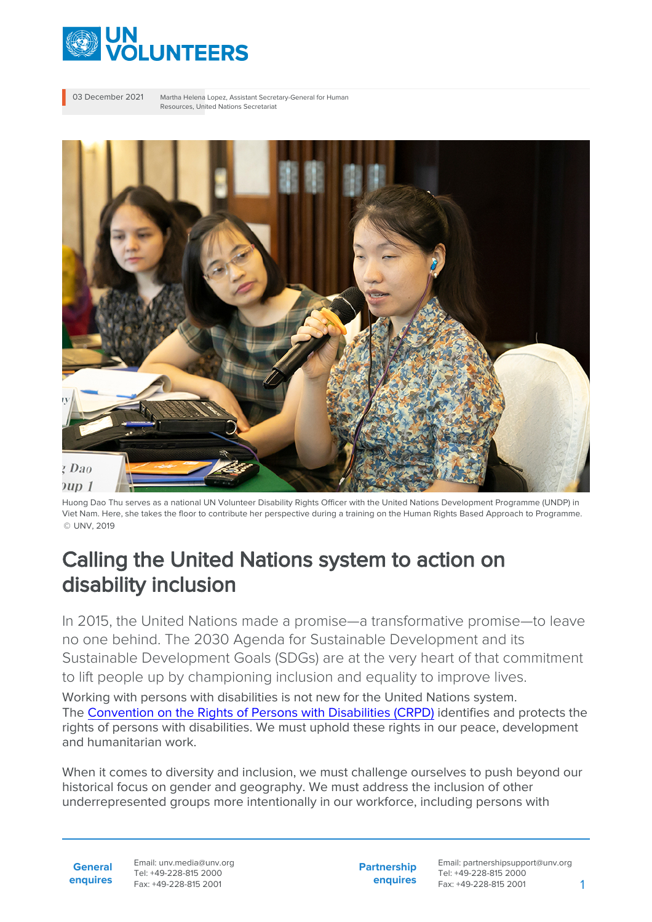

03 December 2021 Martha Helena Lopez, Assistant Secretary-General for Human Resources, United Nations Secretariat



Huong Dao Thu serves as a national UN Volunteer Disability Rights Officer with the United Nations Development Programme (UNDP) in Viet Nam. Here, she takes the floor to contribute her perspective during a training on the Human Rights Based Approach to Programme. © UNV, 2019

# Calling the United Nations system to action on disability inclusion

In 2015, the United Nations made a promise—a transformative promise—to leave no one behind. The 2030 Agenda for Sustainable Development and its Sustainable Development Goals (SDGs) are at the very heart of that commitment to lift people up by championing inclusion and equality to improve lives.

Working with persons with disabilities is not new for the United Nations system. The [Convention on the Rights of Persons with Disabilities \(CRPD\)](https://www.un.org/development/desa/disabilities/convention-on-the-rights-of-persons-with-disabilities.html) identifies and protects the rights of persons with disabilities. We must uphold these rights in our peace, development and humanitarian work.

When it comes to diversity and inclusion, we must challenge ourselves to push beyond our historical focus on gender and geography. We must address the inclusion of other underrepresented groups more intentionally in our workforce, including persons with

**General enquires** Email: unv.media@unv.org Tel: +49-228-815 2000 Fax: +49-228-815 2001

**Partnership enquires** Email: partnershipsupport@unv.org Tel: +49-228-815 2000 Fax: +49-228-815 2001 1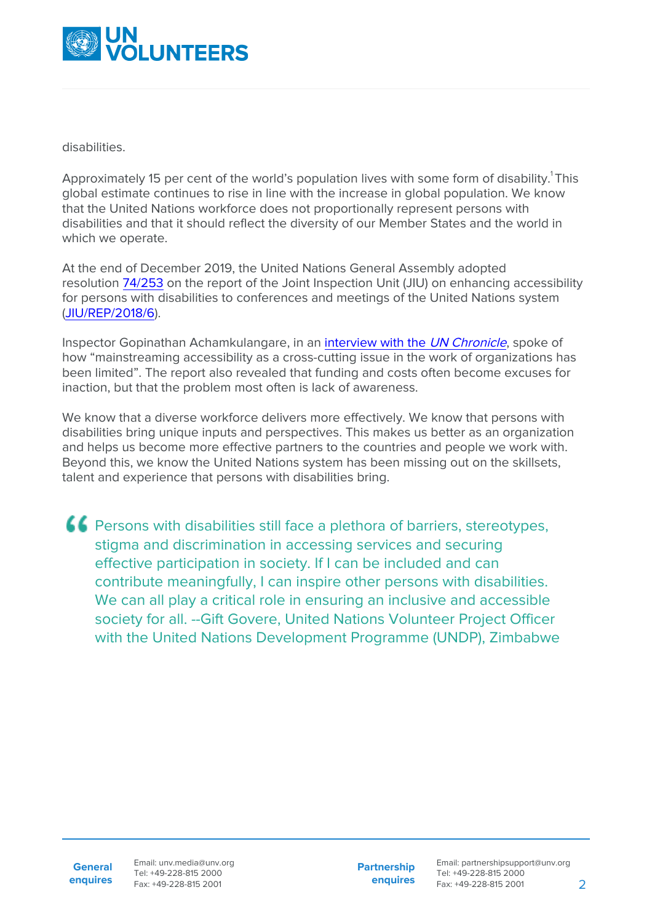

disabilities.

Approximately 15 per cent of the world's population lives with some form of disability.<sup>1</sup>This global estimate continues to rise in line with the increase in global population. We know that the United Nations workforce does not proportionally represent persons with disabilities and that it should reflect the diversity of our Member States and the world in which we operate.

At the end of December 2019, the United Nations General Assembly adopted resolution [74/253](https://undocs.org/en/A/RES/74/253) on the report of the Joint Inspection Unit (JIU) on enhancing accessibility for persons with disabilities to conferences and meetings of the United Nations system ([JIU/REP/2018/6\)](https://undocs.org/en/JIU/REP/2018/6).

Inspector Gopinathan Achamkulangare, in an [interview with the](https://www.un.org/en/un-chronicle/leaving-no-one-behind-chronicle-conversation-gopinathan-achamkulangare-jiu-inspector) [UN Chronicle](https://www.un.org/en/un-chronicle/leaving-no-one-behind-chronicle-conversation-gopinathan-achamkulangare-jiu-inspector), spoke of how "mainstreaming accessibility as a cross-cutting issue in the work of organizations has been limited". The report also revealed that funding and costs often become excuses for inaction, but that the problem most often is lack of awareness.

We know that a diverse workforce delivers more effectively. We know that persons with disabilities bring unique inputs and perspectives. This makes us better as an organization and helps us become more effective partners to the countries and people we work with. Beyond this, we know the United Nations system has been missing out on the skillsets, talent and experience that persons with disabilities bring.

**CC** Persons with disabilities still face a plethora of barriers, stereotypes, stigma and discrimination in accessing services and securing effective participation in society. If I can be included and can contribute meaningfully, I can inspire other persons with disabilities. We can all play a critical role in ensuring an inclusive and accessible society for all. --Gift Govere, United Nations Volunteer Project Officer with the United Nations Development Programme (UNDP), Zimbabwe

**Partnership enquires**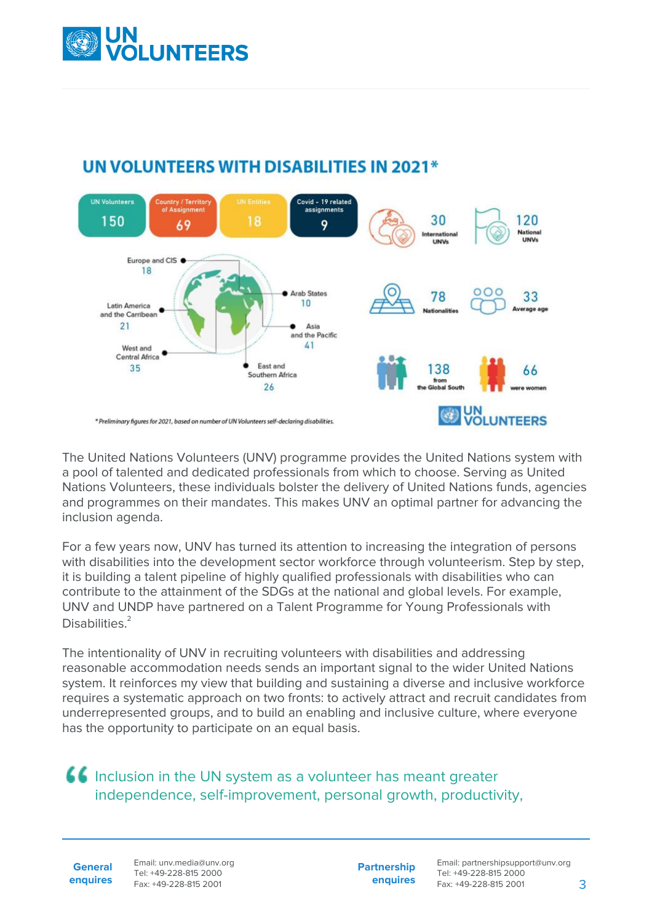



## UN VOLUNTEERS WITH DISABILITIES IN 2021\*

The United Nations Volunteers (UNV) programme provides the United Nations system with a pool of talented and dedicated professionals from which to choose. Serving as United Nations Volunteers, these individuals bolster the delivery of United Nations funds, agencies and programmes on their mandates. This makes UNV an optimal partner for advancing the inclusion agenda.

For a few years now, UNV has turned its attention to increasing the integration of persons with disabilities into the development sector workforce through volunteerism. Step by step, it is building a talent pipeline of highly qualified professionals with disabilities who can contribute to the attainment of the SDGs at the national and global levels. For example, UNV and UNDP have partnered on a Talent Programme for Young Professionals with Disabilities.<sup>2</sup>

The intentionality of UNV in recruiting volunteers with disabilities and addressing reasonable accommodation needs sends an important signal to the wider United Nations system. It reinforces my view that building and sustaining a diverse and inclusive workforce requires a systematic approach on two fronts: to actively attract and recruit candidates from underrepresented groups, and to build an enabling and inclusive culture, where everyone has the opportunity to participate on an equal basis.

### Inclusion in the UN system as a volunteer has meant greater independence, self-improvement, personal growth, productivity,

**General enquires** Email: unv.media@unv.org Tel: +49-228-815 2000 Fax: +49-228-815 2001

**Partnership enquires** Email: partnershipsupport@unv.org Tel: +49-228-815 2000 Fax: +49-228-815 2001 3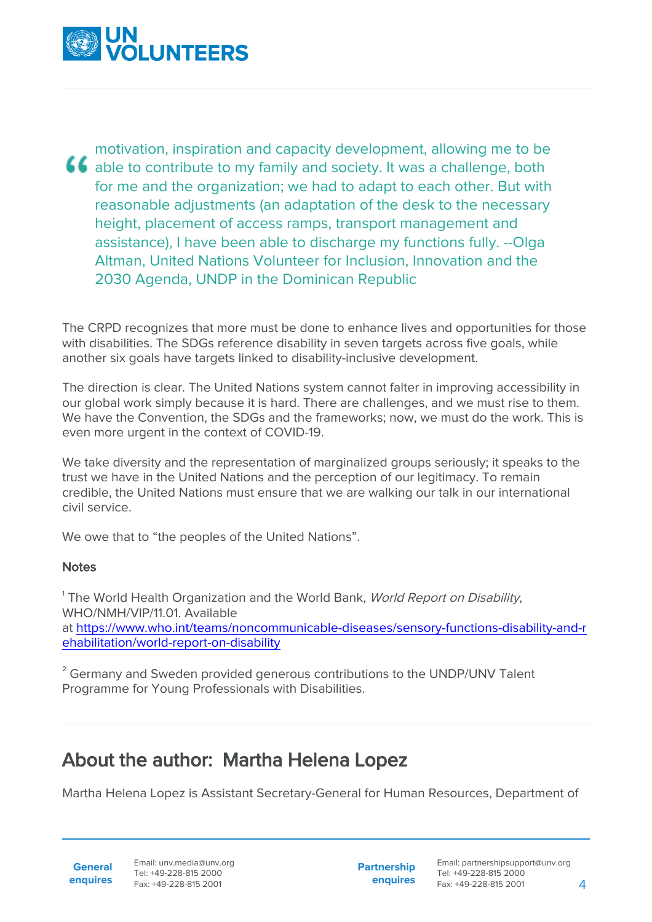

motivation, inspiration and capacity development, allowing me to be able to contribute to my family and society. It was a challenge, both for me and the organization; we had to adapt to each other. But with reasonable adjustments (an adaptation of the desk to the necessary height, placement of access ramps, transport management and assistance), I have been able to discharge my functions fully. --Olga Altman, United Nations Volunteer for Inclusion, Innovation and the 2030 Agenda, UNDP in the Dominican Republic

The CRPD recognizes that more must be done to enhance lives and opportunities for those with disabilities. The SDGs reference disability in seven targets across five goals, while another six goals have targets linked to disability-inclusive development.

The direction is clear. The United Nations system cannot falter in improving accessibility in our global work simply because it is hard. There are challenges, and we must rise to them. We have the Convention, the SDGs and the frameworks; now, we must do the work. This is even more urgent in the context of COVID-19.

We take diversity and the representation of marginalized groups seriously; it speaks to the trust we have in the United Nations and the perception of our legitimacy. To remain credible, the United Nations must ensure that we are walking our talk in our international civil service.

We owe that to "the peoples of the United Nations".

#### Notes

 $^{\rm 1}$ The World Health Organization and the World Bank, *World Report on Disability*, WHO/NMH/VIP/11.01. Available at [https://www.who.int/teams/noncommunicable-diseases/sensory-functions-disability-and-r](#page--1-0) [ehabilitation/world-report-on-disability](#page--1-0)

 $^{\text{2}}$  Germany and Sweden provided generous contributions to the UNDP/UNV Talent Programme for Young Professionals with Disabilities.

# About the author: Martha Helena Lopez

Martha Helena Lopez is Assistant Secretary-General for Human Resources, Department of

**General**

**Partnership enquires**